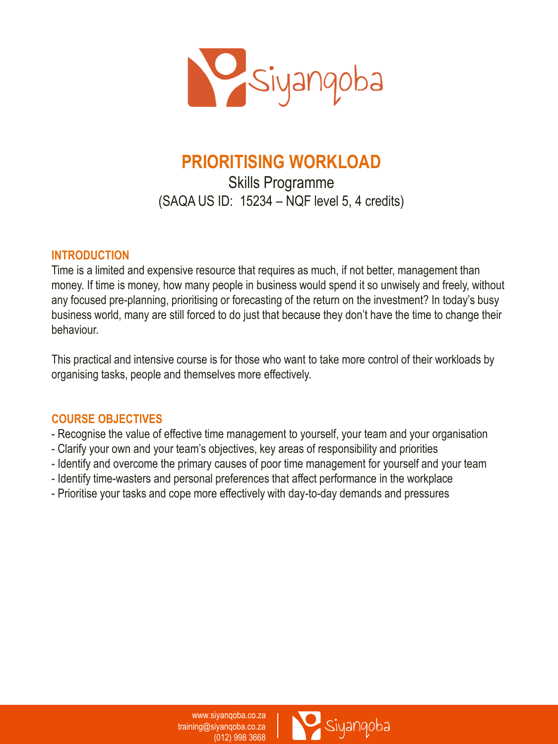

# **PRIORITISING WORKLOAD**

Skills Programme (SAQA US ID: 15234 – NQF level 5, 4 credits)

#### **INTRODUCTION**

Time is a limited and expensive resource that requires as much, if not better, management than money. If time is money, how many people in business would spend it so unwisely and freely, without any focused pre-planning, prioritising or forecasting of the return on the investment? In today's busy business world, many are still forced to do just that because they don't have the time to change their behaviour.

This practical and intensive course is for those who want to take more control of their workloads by organising tasks, people and themselves more effectively.

#### **COURSE OBJECTIVES**

- Recognise the value of effective time management to yourself, your team and your organisation
- Clarify your own and your team's objectives, key areas of responsibility and priorities
- Identify and overcome the primary causes of poor time management for yourself and your team
- Identify time-wasters and personal preferences that affect performance in the workplace
- Prioritise your tasks and cope more effectively with day-to-day demands and pressures

www.siyanqoba.co.za training@siyanqoba.co.za (012) 998 3668